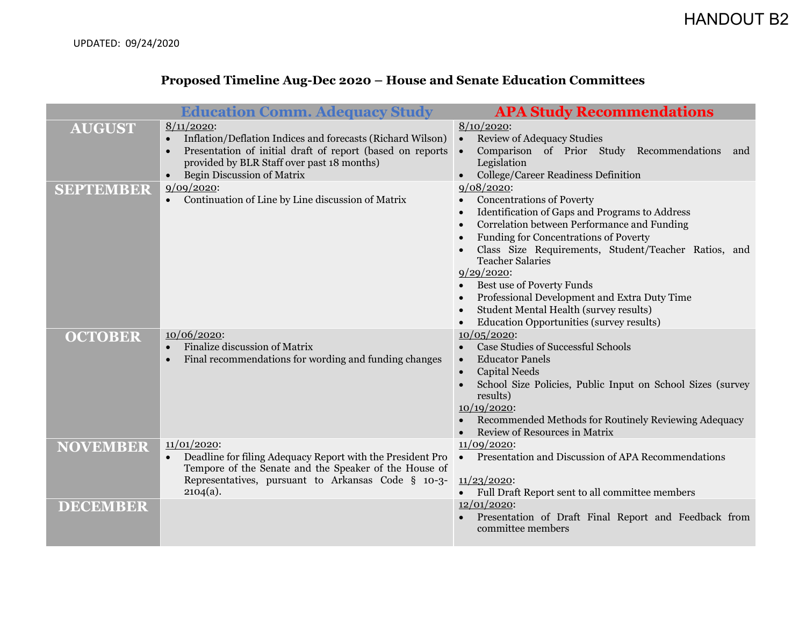## **Proposed Timeline Aug-Dec 2020 – House and Senate Education Committees**

|                  | <b>Education Comm. Adequacy Study</b>                                                                                                                                                                                                                 | <b>APA Study Recommendations</b>                                                                                                                                                                                                                                                                                                                                                                                                                                                      |
|------------------|-------------------------------------------------------------------------------------------------------------------------------------------------------------------------------------------------------------------------------------------------------|---------------------------------------------------------------------------------------------------------------------------------------------------------------------------------------------------------------------------------------------------------------------------------------------------------------------------------------------------------------------------------------------------------------------------------------------------------------------------------------|
| <b>AUGUST</b>    | $8/11/2020$ :<br>Inflation/Deflation Indices and forecasts (Richard Wilson)<br>$\bullet$<br>Presentation of initial draft of report (based on reports<br>$\bullet$<br>provided by BLR Staff over past 18 months)<br><b>Begin Discussion of Matrix</b> | $8/10/2020$ :<br><b>Review of Adequacy Studies</b><br>$\bullet$<br>Comparison of Prior Study Recommendations<br>$\bullet$<br>and<br>Legislation<br>College/Career Readiness Definition                                                                                                                                                                                                                                                                                                |
| <b>SEPTEMBER</b> | 9/09/2020<br>Continuation of Line by Line discussion of Matrix                                                                                                                                                                                        | 9/08/2020<br><b>Concentrations of Poverty</b><br>Identification of Gaps and Programs to Address<br>$\bullet$<br>Correlation between Performance and Funding<br><b>Funding for Concentrations of Poverty</b><br>Class Size Requirements, Student/Teacher Ratios, and<br><b>Teacher Salaries</b><br>9/29/2020<br>Best use of Poverty Funds<br>Professional Development and Extra Duty Time<br>Student Mental Health (survey results)<br><b>Education Opportunities (survey results)</b> |
| <b>OCTOBER</b>   | $10/06/2020$ :<br>Finalize discussion of Matrix<br>$\bullet$<br>Final recommendations for wording and funding changes<br>$\bullet$                                                                                                                    | 10/05/2020<br><b>Case Studies of Successful Schools</b><br><b>Educator Panels</b><br>$\bullet$<br><b>Capital Needs</b><br>School Size Policies, Public Input on School Sizes (survey<br>results)<br>$10/19/2020$ :<br>Recommended Methods for Routinely Reviewing Adequacy<br>Review of Resources in Matrix                                                                                                                                                                           |
| <b>NOVEMBER</b>  | 11/01/2020<br>Deadline for filing Adequacy Report with the President Pro<br>$\bullet$<br>Tempore of the Senate and the Speaker of the House of<br>Representatives, pursuant to Arkansas Code § 10-3-<br>$2104(a)$ .                                   | 11/09/2020<br>Presentation and Discussion of APA Recommendations<br>$\bullet$<br>11/23/2020<br>• Full Draft Report sent to all committee members                                                                                                                                                                                                                                                                                                                                      |
| <b>DECEMBER</b>  |                                                                                                                                                                                                                                                       | $12/01/2020$ :<br>Presentation of Draft Final Report and Feedback from<br>committee members                                                                                                                                                                                                                                                                                                                                                                                           |